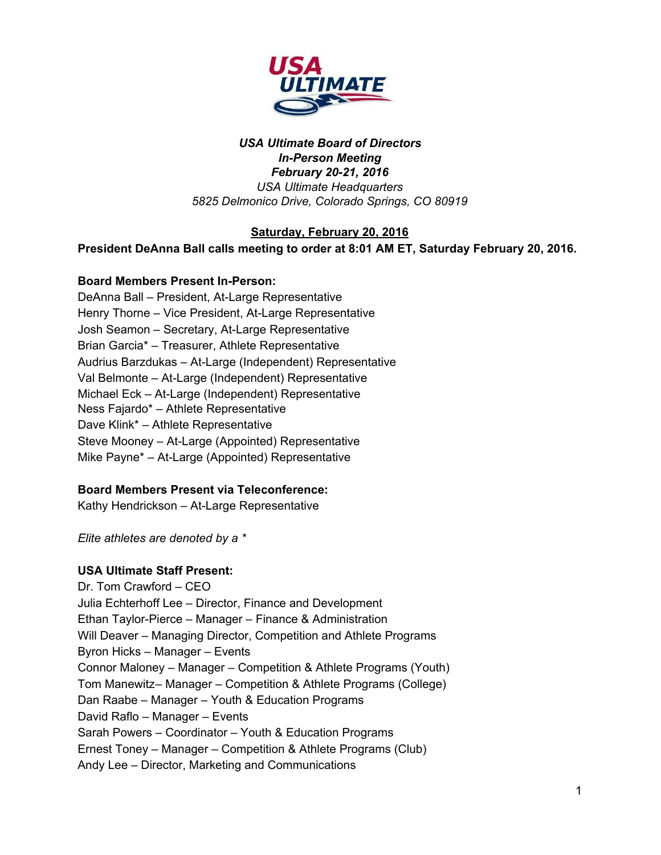

#### *USA Ultimate Board of Directors InPerson Meeting February 2021, 2016 USA Ultimate Headquarters 5825 Delmonico Drive, Colorado Springs, CO 80919*

#### **Saturday, February 20, 2016**

**President DeAnna Ball calls meeting to order at 8:01 AM ET, Saturday February 20, 2016.**

#### **Board Members Present In-Person:**

DeAnna Ball - President, At-Large Representative Henry Thorne – Vice President, At-Large Representative Josh Seamon – Secretary, At-Large Representative Brian Garcia\* – Treasurer, Athlete Representative Audrius Barzdukas – At-Large (Independent) Representative Val Belmonte – At-Large (Independent) Representative Michael Eck – At-Large (Independent) Representative Ness Fajardo\* – Athlete Representative Dave Klink\* – Athlete Representative Steve Mooney – At-Large (Appointed) Representative Mike Payne\* – At-Large (Appointed) Representative

### **Board Members Present via Teleconference:**

Kathy Hendrickson - At-Large Representative

*Elite athletes are denoted by a \**

#### **USA Ultimate Staff Present:**

Dr. Tom Crawford – CEO Julia Echterhoff Lee – Director, Finance and Development Ethan Taylor-Pierce – Manager – Finance & Administration Will Deaver – Managing Director, Competition and Athlete Programs Byron Hicks – Manager – Events Connor Maloney – Manager – Competition & Athlete Programs (Youth) Tom Manewitz– Manager – Competition & Athlete Programs (College) Dan Raabe – Manager – Youth & Education Programs David Raflo – Manager – Events Sarah Powers – Coordinator – Youth & Education Programs Ernest Toney – Manager – Competition & Athlete Programs (Club) Andy Lee – Director, Marketing and Communications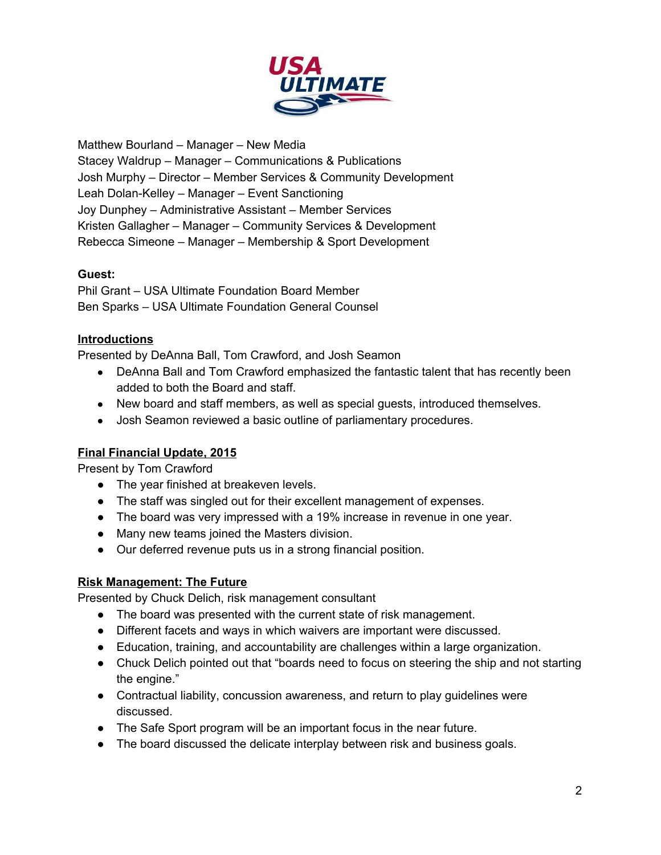

Matthew Bourland – Manager – New Media Stacey Waldrup – Manager – Communications & Publications Josh Murphy – Director – Member Services & Community Development Leah Dolan-Kelley – Manager – Event Sanctioning Joy Dunphey – Administrative Assistant – Member Services Kristen Gallagher – Manager – Community Services & Development Rebecca Simeone – Manager – Membership & Sport Development

### **Guest:**

Phil Grant – USA Ultimate Foundation Board Member Ben Sparks – USA Ultimate Foundation General Counsel

#### **Introductions**

Presented by DeAnna Ball, Tom Crawford, and Josh Seamon

- DeAnna Ball and Tom Crawford emphasized the fantastic talent that has recently been added to both the Board and staff.
- New board and staff members, as well as special guests, introduced themselves.
- Josh Seamon reviewed a basic outline of parliamentary procedures.

### **Final Financial Update, 2015**

Present by Tom Crawford

- The year finished at breakeven levels.
- The staff was singled out for their excellent management of expenses.
- The board was very impressed with a 19% increase in revenue in one year.
- Many new teams joined the Masters division.
- Our deferred revenue puts us in a strong financial position.

### **Risk Management: The Future**

Presented by Chuck Delich, risk management consultant

- The board was presented with the current state of risk management.
- Different facets and ways in which waivers are important were discussed.
- Education, training, and accountability are challenges within a large organization.
- Chuck Delich pointed out that "boards need to focus on steering the ship and not starting the engine."
- Contractual liability, concussion awareness, and return to play guidelines were discussed.
- The Safe Sport program will be an important focus in the near future.
- The board discussed the delicate interplay between risk and business goals.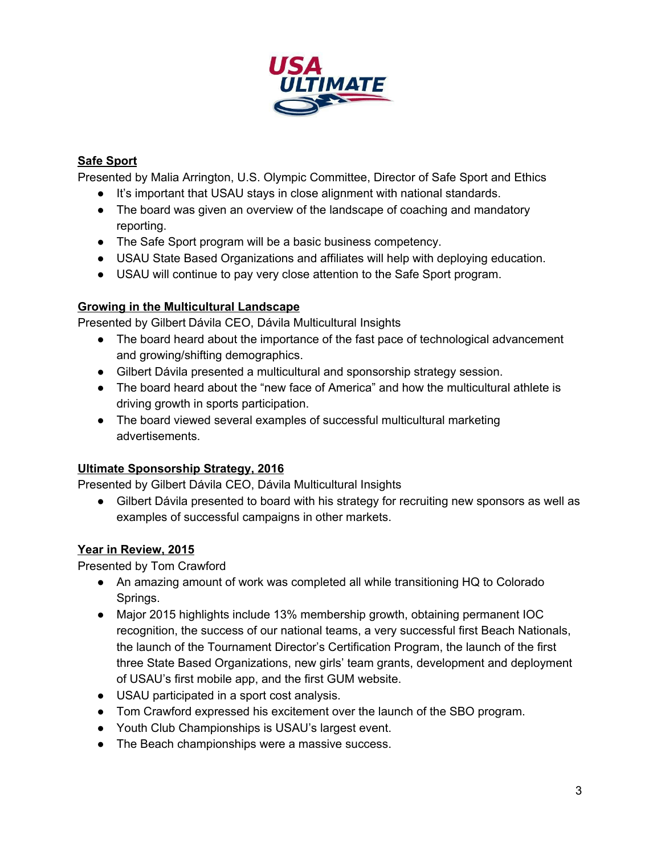

### **Safe Sport**

Presented by Malia Arrington, U.S. Olympic Committee, Director of Safe Sport and Ethics

- It's important that USAU stays in close alignment with national standards.
- The board was given an overview of the landscape of coaching and mandatory reporting.
- The Safe Sport program will be a basic business competency.
- USAU State Based Organizations and affiliates will help with deploying education.
- USAU will continue to pay very close attention to the Safe Sport program.

### **Growing in the Multicultural Landscape**

Presented by Gilbert Dávila CEO, Dávila Multicultural Insights

- The board heard about the importance of the fast pace of technological advancement and growing/shifting demographics.
- Gilbert Dávila presented a multicultural and sponsorship strategy session.
- The board heard about the "new face of America" and how the multicultural athlete is driving growth in sports participation.
- The board viewed several examples of successful multicultural marketing advertisements.

# **Ultimate Sponsorship Strategy, 2016**

Presented by Gilbert Dávila CEO, Dávila Multicultural Insights

● Gilbert Dávila presented to board with his strategy for recruiting new sponsors as well as examples of successful campaigns in other markets.

# **Year in Review, 2015**

Presented by Tom Crawford

- An amazing amount of work was completed all while transitioning HQ to Colorado Springs.
- Major 2015 highlights include 13% membership growth, obtaining permanent IOC recognition, the success of our national teams, a very successful first Beach Nationals, the launch of the Tournament Director's Certification Program, the launch of the first three State Based Organizations, new girls' team grants, development and deployment of USAU's first mobile app, and the first GUM website.
- USAU participated in a sport cost analysis.
- Tom Crawford expressed his excitement over the launch of the SBO program.
- Youth Club Championships is USAU's largest event.
- The Beach championships were a massive success.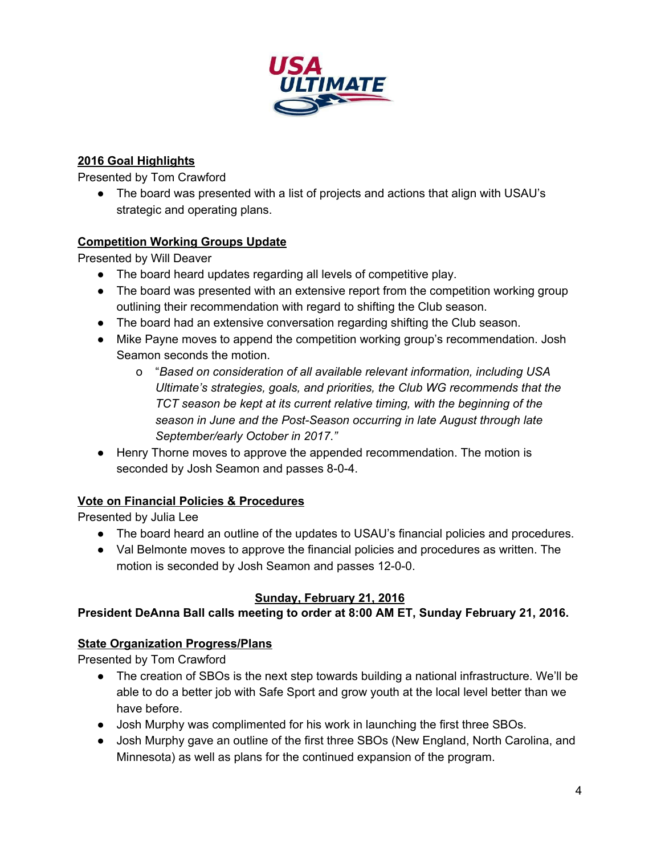

### **2016 Goal Highlights**

Presented by Tom Crawford

• The board was presented with a list of projects and actions that align with USAU's strategic and operating plans.

### **Competition Working Groups Update**

Presented by Will Deaver

- The board heard updates regarding all levels of competitive play.
- The board was presented with an extensive report from the competition working group outlining their recommendation with regard to shifting the Club season.
- The board had an extensive conversation regarding shifting the Club season.
- Mike Payne moves to append the competition working group's recommendation. Josh Seamon seconds the motion.
	- o "*Based on consideration of all available relevant information, including USA Ultimate's strategies, goals, and priorities, the Club WG recommends that the TCT season be kept at its current relative timing, with the beginning of the season in June and the Post-Season occurring in late August through late September/early October in 2017*.*"*
- Henry Thorne moves to approve the appended recommendation. The motion is seconded by Josh Seamon and passes 8-0-4.

# **Vote on Financial Policies & Procedures**

Presented by Julia Lee

- The board heard an outline of the updates to USAU's financial policies and procedures.
- Val Belmonte moves to approve the financial policies and procedures as written. The motion is seconded by Josh Seamon and passes 12-0-0.

# **Sunday, February 21, 2016**

# **President DeAnna Ball calls meeting to order at 8:00 AM ET, Sunday February 21, 2016.**

# **State Organization Progress/Plans**

Presented by Tom Crawford

- The creation of SBOs is the next step towards building a national infrastructure. We'll be able to do a better job with Safe Sport and grow youth at the local level better than we have before.
- Josh Murphy was complimented for his work in launching the first three SBOs.
- Josh Murphy gave an outline of the first three SBOs (New England, North Carolina, and Minnesota) as well as plans for the continued expansion of the program.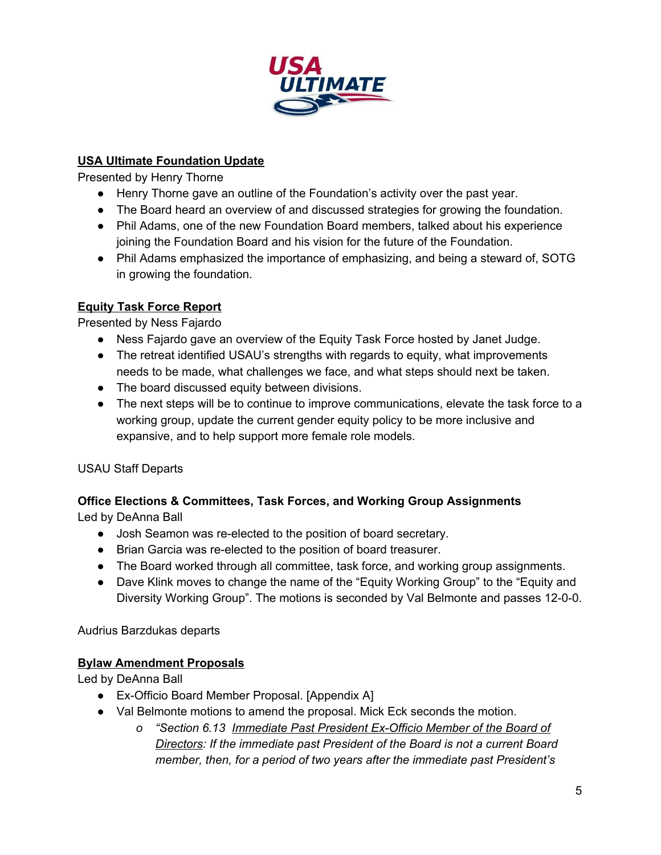

### **USA Ultimate Foundation Update**

Presented by Henry Thorne

- Henry Thorne gave an outline of the Foundation's activity over the past year.
- The Board heard an overview of and discussed strategies for growing the foundation.
- Phil Adams, one of the new Foundation Board members, talked about his experience joining the Foundation Board and his vision for the future of the Foundation.
- Phil Adams emphasized the importance of emphasizing, and being a steward of, SOTG in growing the foundation.

# **Equity Task Force Report**

Presented by Ness Fajardo

- Ness Fajardo gave an overview of the Equity Task Force hosted by Janet Judge.
- The retreat identified USAU's strengths with regards to equity, what improvements needs to be made, what challenges we face, and what steps should next be taken.
- The board discussed equity between divisions.
- The next steps will be to continue to improve communications, elevate the task force to a working group, update the current gender equity policy to be more inclusive and expansive, and to help support more female role models.

USAU Staff Departs

# **Office Elections & Committees, Task Forces, and Working Group Assignments**

Led by DeAnna Ball

- Josh Seamon was re-elected to the position of board secretary.
- Brian Garcia was re-elected to the position of board treasurer.
- The Board worked through all committee, task force, and working group assignments.
- Dave Klink moves to change the name of the "Equity Working Group" to the "Equity and Diversity Working Group". The motions is seconded by Val Belmonte and passes 12-0-0.

Audrius Barzdukas departs

### **Bylaw Amendment Proposals**

Led by DeAnna Ball

- Ex-Officio Board Member Proposal. [Appendix A]
- Val Belmonte motions to amend the proposal. Mick Eck seconds the motion.
	- *o "Section 6.13 Immediate Past President ExOfficio Member of the Board of Directors: If the immediate past President of the Board is not a current Board member, then, for a period of two years after the immediate past President's*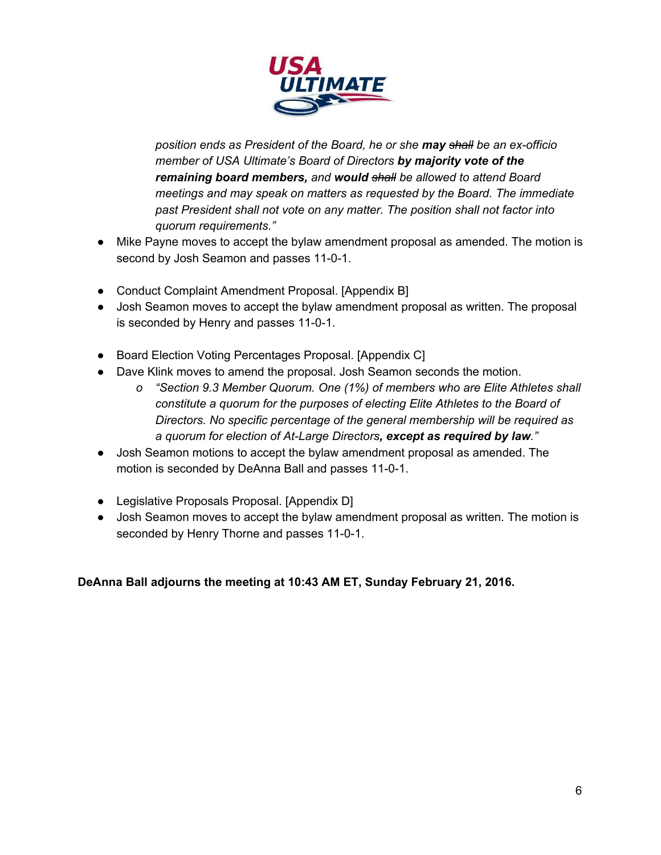

*position ends as President of the Board, he or she mayshall be an exofficio member of USA Ultimate's Board of Directors by majority vote of the remaining board members,and wouldshall be allowed to attend Board meetings and may speak on matters as requested by the Board. The immediate past President shall not vote on any matter. The position shall not factor into quorum requirements."*

- Mike Payne moves to accept the bylaw amendment proposal as amended. The motion is second by Josh Seamon and passes 11-0-1.
- Conduct Complaint Amendment Proposal. [Appendix B]
- Josh Seamon moves to accept the bylaw amendment proposal as written. The proposal is seconded by Henry and passes 11-0-1.
- Board Election Voting Percentages Proposal. [Appendix C]
- Dave Klink moves to amend the proposal. Josh Seamon seconds the motion.
	- *o "Section 9.3 Member Quorum. One (1%) of members who are Elite Athletes shall constitute a quorum for the purposes of electing Elite Athletes to the Board of Directors. No specific percentage of the general membership will be required as a quorum for election of AtLarge Directors, except as required by law."*
- Josh Seamon motions to accept the bylaw amendment proposal as amended. The motion is seconded by DeAnna Ball and passes 11-0-1.
- Legislative Proposals Proposal. [Appendix D]
- Josh Seamon moves to accept the bylaw amendment proposal as written. The motion is seconded by Henry Thorne and passes 11-0-1.

**DeAnna Ball adjourns the meeting at 10:43 AM ET, Sunday February 21, 2016.**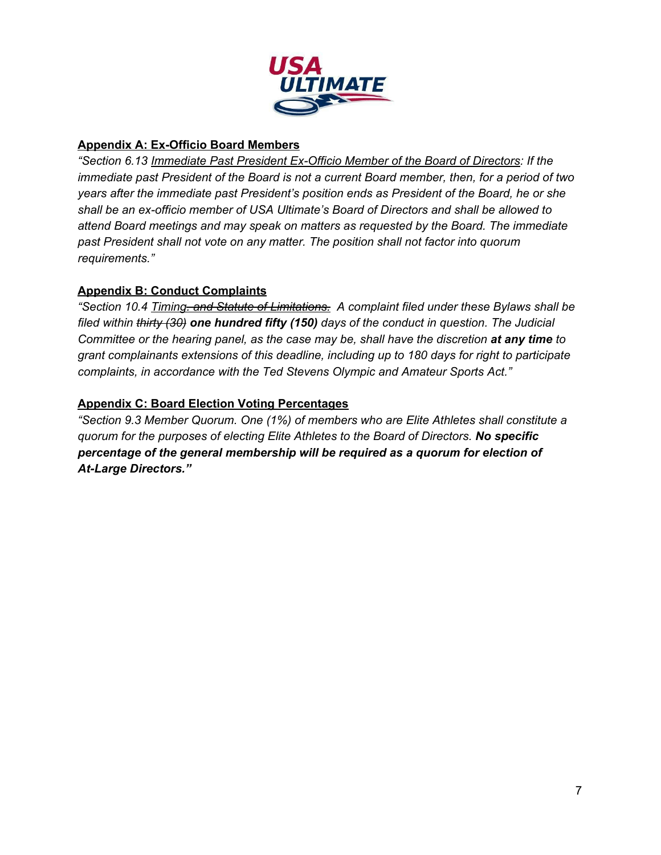

### **Appendix A: Ex-Officio Board Members**

*"Section 6.13 Immediate Past President ExOfficio Member of the Board of Directors: If the immediate past President of the Board is not a current Board member, then, for a period of two years after the immediate past President's position ends as President of the Board, he or she shall be an exofficio member of USA Ultimate's Board of Directors and shall be allowed to attend Board meetings and may speak on matters as requested by the Board. The immediate past President shall not vote on any matter. The position shall not factor into quorum requirements."*

### **Appendix B: Conduct Complaints**

*"Section 10.4 Timing. and Statute of Limitations. A complaint filed under these Bylaws shall be filed within thirty (30) one hundred fifty (150)days of the conduct in question. The Judicial Committee or the hearing panel, as the case may be, shall have the discretion at any timeto grant complainants extensions of this deadline, including up to 180 days for right to participate complaints, in accordance with the Ted Stevens Olympic and Amateur Sports Act."*

### **Appendix C: Board Election Voting Percentages**

*"Section 9.3 Member Quorum. One (1%) of members who are Elite Athletes shall constitute a quorum for the purposes of electing Elite Athletes to the Board of Directors. No specific percentage of the general membership will be required as a quorum for election of AtLarge Directors."*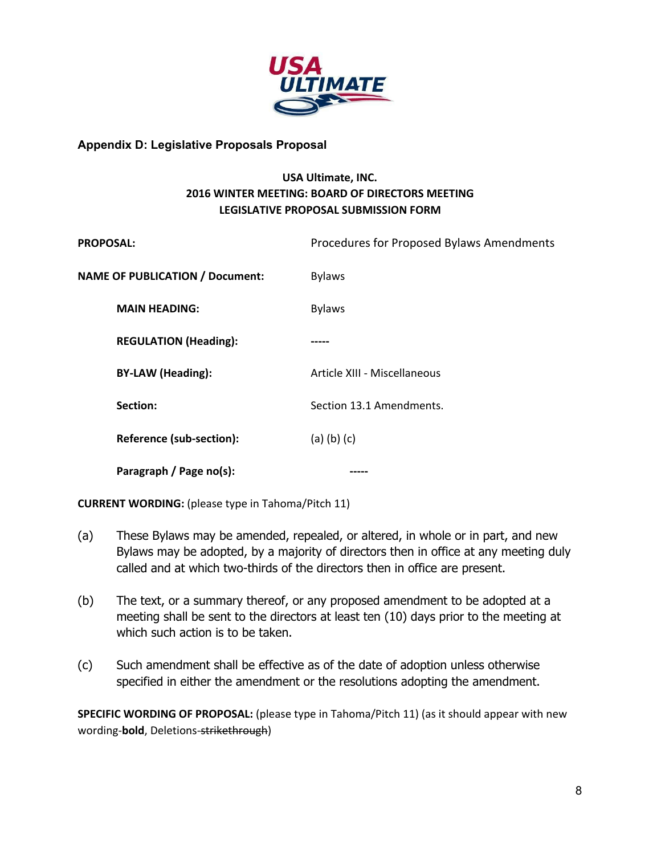

#### **Appendix D: Legislative Proposals Proposal**

### **USA Ultimate, INC. 2016 WINTER MEETING: BOARD OF DIRECTORS MEETING LEGISLATIVE PROPOSAL SUBMISSION FORM**

| <b>PROPOSAL:</b>                       | Procedures for Proposed Bylaws Amendments |
|----------------------------------------|-------------------------------------------|
| <b>NAME OF PUBLICATION / Document:</b> | <b>Bylaws</b>                             |
| <b>MAIN HEADING:</b>                   | <b>Bylaws</b>                             |
| <b>REGULATION (Heading):</b>           |                                           |
| <b>BY-LAW (Heading):</b>               | Article XIII - Miscellaneous              |
| Section:                               | Section 13.1 Amendments.                  |
| Reference (sub-section):               | $(a)$ $(b)$ $(c)$                         |
| Paragraph / Page no(s):                |                                           |

**CURRENT WORDING:** (please type in Tahoma/Pitch 11)

- (a) These Bylaws may be amended, repealed, or altered, in whole or in part, and new Bylaws may be adopted, by a majority of directors then in office at any meeting duly called and at which two-thirds of the directors then in office are present.
- (b) The text, or a summary thereof, or any proposed amendment to be adopted at a meeting shall be sent to the directors at least ten (10) days prior to the meeting at which such action is to be taken.
- (c) Such amendment shall be effective as of the date of adoption unless otherwise specified in either the amendment or the resolutions adopting the amendment.

**SPECIFIC WORDING OF PROPOSAL:** (please type in Tahoma/Pitch 11) (as it should appear with new wording-**bold**, Deletions-strikethrough)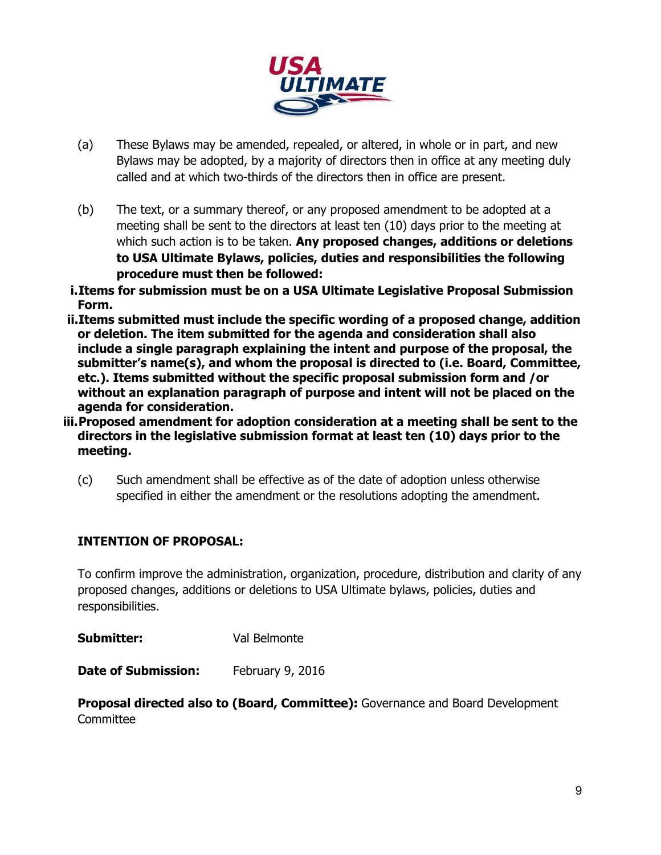

- (a) These Bylaws may be amended, repealed, or altered, in whole or in part, and new Bylaws may be adopted, by a majority of directors then in office at any meeting duly called and at which two-thirds of the directors then in office are present.
- (b) The text, or a summary thereof, or any proposed amendment to be adopted at a meeting shall be sent to the directors at least ten (10) days prior to the meeting at which such action is to be taken. **Any proposed changes, additions or deletions to USA Ultimate Bylaws, policies, duties and responsibilities the following procedure must then be followed:**
- **i.Items for submission must be on a USA Ultimate Legislative Proposal Submission Form.**
- **ii.Items submitted must include the specific wording of a proposed change, addition or deletion. The item submitted for the agenda and consideration shall also include a single paragraph explaining the intent and purpose of the proposal, the submitter's name(s), and whom the proposal is directed to (i.e. Board, Committee, etc.). Items submitted without the specific proposal submission form and /or without an explanation paragraph of purpose and intent will not be placed on the agenda for consideration.**
- **iii.Proposed amendment for adoption consideration at a meeting shall be sent to the directors in the legislative submission format at least ten (10) days prior to the meeting.**
	- (c) Such amendment shall be effective as of the date of adoption unless otherwise specified in either the amendment or the resolutions adopting the amendment.

# **INTENTION OF PROPOSAL:**

To confirm improve the administration, organization, procedure, distribution and clarity of any proposed changes, additions or deletions to USA Ultimate bylaws, policies, duties and responsibilities.

**Submitter:** Val Belmonte

**Date of Submission:** February 9, 2016

**Proposal directed also to (Board, Committee):** Governance and Board Development **Committee**